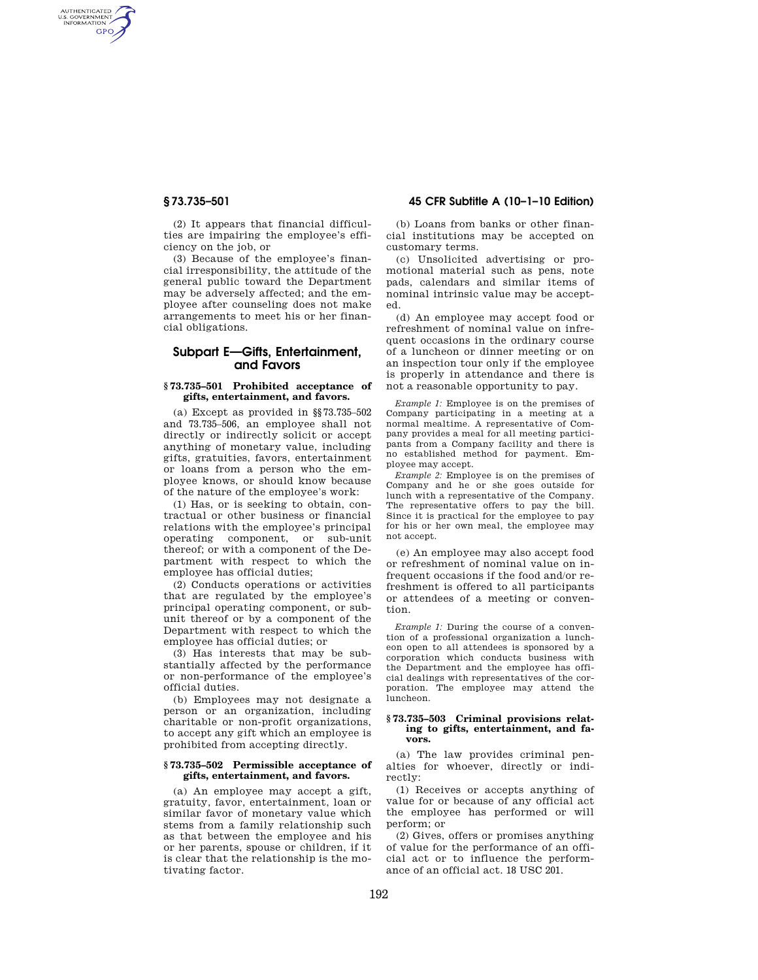AUTHENTICATED<br>U.S. GOVERNMENT<br>INFORMATION GPO

> (2) It appears that financial difficulties are impairing the employee's efficiency on the job, or

> (3) Because of the employee's financial irresponsibility, the attitude of the general public toward the Department may be adversely affected; and the employee after counseling does not make arrangements to meet his or her financial obligations.

# **Subpart E—Gifts, Entertainment, and Favors**

# **§ 73.735–501 Prohibited acceptance of gifts, entertainment, and favors.**

(a) Except as provided in §§73.735–502 and 73.735–506, an employee shall not directly or indirectly solicit or accept anything of monetary value, including gifts, gratuities, favors, entertainment or loans from a person who the employee knows, or should know because of the nature of the employee's work:

(1) Has, or is seeking to obtain, contractual or other business or financial relations with the employee's principal operating component, or sub-unit thereof; or with a component of the Department with respect to which the employee has official duties;

(2) Conducts operations or activities that are regulated by the employee's principal operating component, or subunit thereof or by a component of the Department with respect to which the employee has official duties; or

(3) Has interests that may be substantially affected by the performance or non-performance of the employee's official duties.

(b) Employees may not designate a person or an organization, including charitable or non-profit organizations, to accept any gift which an employee is prohibited from accepting directly.

## **§ 73.735–502 Permissible acceptance of gifts, entertainment, and favors.**

(a) An employee may accept a gift, gratuity, favor, entertainment, loan or similar favor of monetary value which stems from a family relationship such as that between the employee and his or her parents, spouse or children, if it is clear that the relationship is the motivating factor.

# **§ 73.735–501 45 CFR Subtitle A (10–1–10 Edition)**

(b) Loans from banks or other financial institutions may be accepted on customary terms.

(c) Unsolicited advertising or promotional material such as pens, note pads, calendars and similar items of nominal intrinsic value may be accepted.

(d) An employee may accept food or refreshment of nominal value on infrequent occasions in the ordinary course of a luncheon or dinner meeting or on an inspection tour only if the employee is properly in attendance and there is not a reasonable opportunity to pay.

*Example 1:* Employee is on the premises of Company participating in a meeting at a normal mealtime. A representative of Company provides a meal for all meeting participants from a Company facility and there is no established method for payment. Employee may accept.

*Example 2:* Employee is on the premises of Company and he or she goes outside for lunch with a representative of the Company. The representative offers to pay the bill. Since it is practical for the employee to pay for his or her own meal, the employee may not accept.

(e) An employee may also accept food or refreshment of nominal value on infrequent occasions if the food and/or refreshment is offered to all participants or attendees of a meeting or convention.

*Example 1:* During the course of a convention of a professional organization a luncheon open to all attendees is sponsored by a corporation which conducts business with the Department and the employee has official dealings with representatives of the corporation. The employee may attend the luncheon.

#### **§ 73.735–503 Criminal provisions relating to gifts, entertainment, and favors.**

(a) The law provides criminal penalties for whoever, directly or indirectly:

(1) Receives or accepts anything of value for or because of any official act the employee has performed or will perform; or

(2) Gives, offers or promises anything of value for the performance of an official act or to influence the performance of an official act. 18 USC 201.